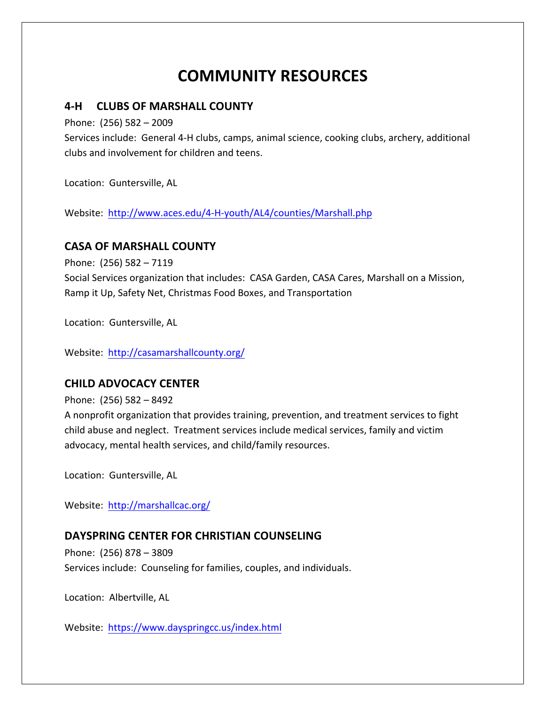# **COMMUNITY RESOURCES**

## **4-H CLUBS OF MARSHALL COUNTY**

Phone:  $(256)$  582 - 2009

Services include: General 4-H clubs, camps, animal science, cooking clubs, archery, additional clubs and involvement for children and teens.

Location: Guntersville, AL

Website: http://www.aces.edu/4-H-youth/AL4/counties/Marshall.php

#### **CASA OF MARSHALL COUNTY**

Phone: (256) 582 - 7119

Social Services organization that includes: CASA Garden, CASA Cares, Marshall on a Mission, Ramp it Up, Safety Net, Christmas Food Boxes, and Transportation

Location: Guntersville, AL

Website: http://casamarshallcounty.org/

#### **CHILD ADVOCACY CENTER**

Phone:  $(256)$  582 – 8492

A nonprofit organization that provides training, prevention, and treatment services to fight child abuse and neglect. Treatment services include medical services, family and victim advocacy, mental health services, and child/family resources.

Location: Guntersville, AL

Website: http://marshallcac.org/

#### **DAYSPRING CENTER FOR CHRISTIAN COUNSELING**

Phone: (256) 878 - 3809 Services include: Counseling for families, couples, and individuals.

Location: Albertville, AL

Website: https://www.dayspringcc.us/index.html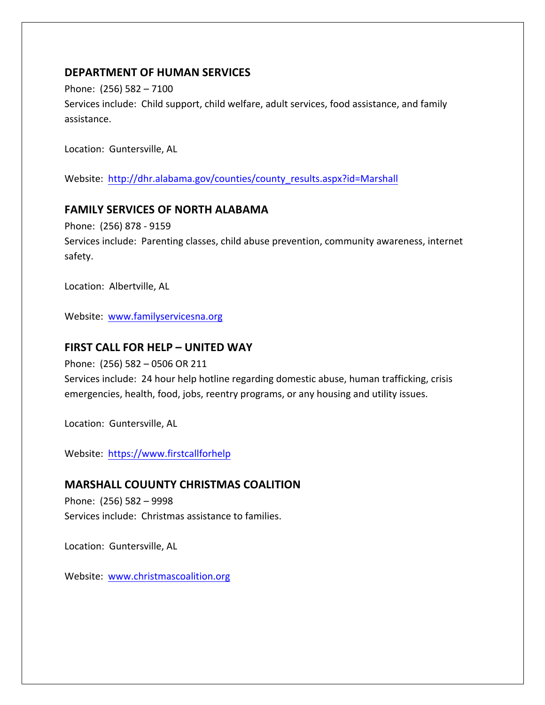# **DEPARTMENT OF HUMAN SERVICES**

Phone:  $(256)$  582 - 7100 Services include: Child support, child welfare, adult services, food assistance, and family assistance.

Location: Guntersville, AL

Website: http://dhr.alabama.gov/counties/county\_results.aspx?id=Marshall

## **FAMILY SERVICES OF NORTH ALABAMA**

Phone: (256) 878 - 9159

Services include: Parenting classes, child abuse prevention, community awareness, internet safety.

Location: Albertville, AL

Website: www.familyservicesna.org

## **FIRST CALL FOR HELP - UNITED WAY**

Phone:  $(256)$  582 - 0506 OR 211

Services include: 24 hour help hotline regarding domestic abuse, human trafficking, crisis emergencies, health, food, jobs, reentry programs, or any housing and utility issues.

Location: Guntersville, AL

Website: https://www.firstcallforhelp

# **MARSHALL COUUNTY CHRISTMAS COALITION**

Phone:  $(256)$  582 - 9998 Services include: Christmas assistance to families.

Location: Guntersville, AL

Website: www.christmascoalition.org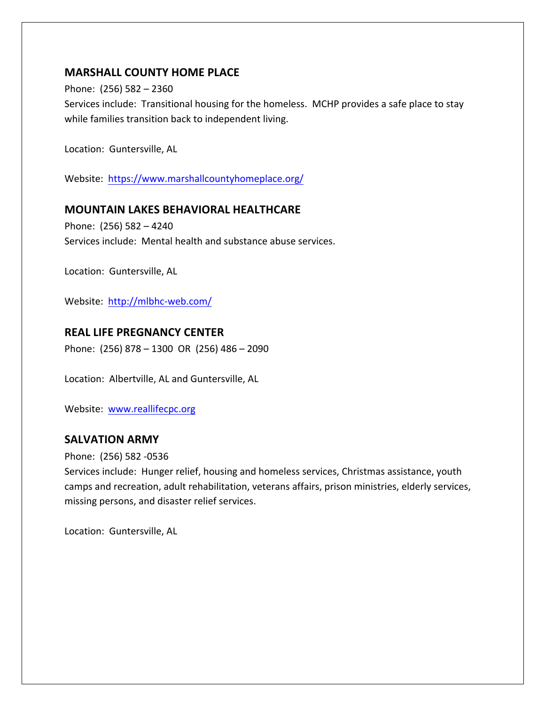# **MARSHALL COUNTY HOME PLACE**

Phone:  $(256)$  582 - 2360

Services include: Transitional housing for the homeless. MCHP provides a safe place to stay while families transition back to independent living.

Location: Guntersville, AL

Website: https://www.marshallcountyhomeplace.org/

#### **MOUNTAIN LAKES BEHAVIORAL HEALTHCARE**

Phone:  $(256)$  582 - 4240 Services include: Mental health and substance abuse services.

Location: Guntersville, AL

Website: http://mlbhc-web.com/

# **REAL LIFE PREGNANCY CENTER**

Phone:  $(256)$  878 – 1300 OR  $(256)$  486 – 2090

Location: Albertville, AL and Guntersville, AL

Website: www.reallifecpc.org

# **SALVATION ARMY**

Phone: (256) 582 -0536

Services include: Hunger relief, housing and homeless services, Christmas assistance, youth camps and recreation, adult rehabilitation, veterans affairs, prison ministries, elderly services, missing persons, and disaster relief services.

Location: Guntersville, AL